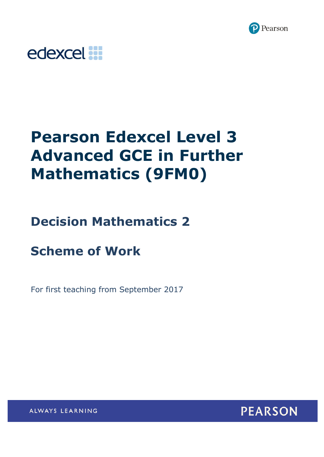

## edexcel :::

# **Pearson Edexcel Level 3 Advanced GCE in Further Mathematics (9FM0)**

## **Decision Mathematics 2**

**Scheme of Work**

For first teaching from September 2017



ALWAYS LEARNING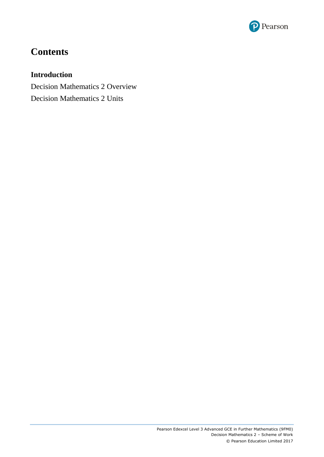

## **Contents**

### **Introduction**

Decision Mathematics 2 Overview Decision Mathematics 2 Units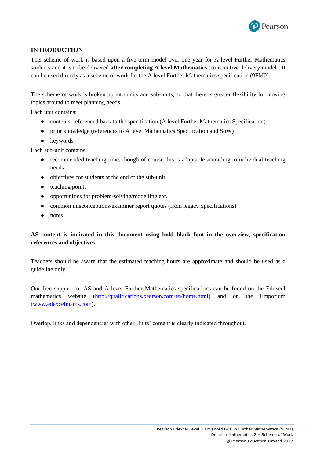

#### <span id="page-2-0"></span>**INTRODUCTION**

This scheme of work is based upon a five-term model over one year for A level Further Mathematics students and it is to be delivered **after completing A level Mathematics** (consecutive delivery model). It can be used directly as a scheme of work for the A level Further Mathematics specification (9FM0).

The scheme of work is broken up into units and sub-units, so that there is greater flexibility for moving topics around to meet planning needs.

Each unit contains:

- contents, referenced back to the specification (A level Further Mathematics Specification)
- prior knowledge (references to A level Mathematics Specification and SoW)
- keywords

Each sub-unit contains:

- recommended teaching time, though of course this is adaptable according to individual teaching needs
- objectives for students at the end of the sub-unit
- teaching points
- opportunities for problem-solving/modelling etc.
- common misconceptions/examiner report quotes (from legacy Specifications)
- notes

#### **AS content is indicated in this document using bold black font in the overview, specification references and objectives**

Teachers should be aware that the estimated teaching hours are approximate and should be used as a guideline only.

Our free support for AS and A level Further Mathematics specifications can be found on the Edexcel mathematics website [\(http://qualifications.pearson.com/en/home.html\)](http://qualifications.pearson.com/en/home.html) and on the Emporium [\(www.edexcelmaths.com\)](http://www.edexcelmaths.com/).

Overlap, links and dependencies with other Units' content is clearly indicated throughout.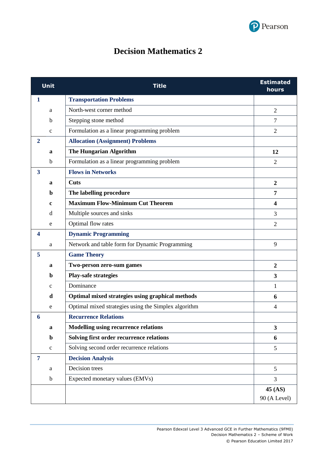

### **Decision Mathematics 2**

|                         | <b>Unit</b>  | <b>Title</b>                                         | <b>Estimated</b><br>hours |
|-------------------------|--------------|------------------------------------------------------|---------------------------|
| 1                       |              | <b>Transportation Problems</b>                       |                           |
|                         | a            | North-west corner method                             | $\overline{2}$            |
|                         | b            | Stepping stone method                                | $\overline{7}$            |
|                         | $\mathbf{C}$ | Formulation as a linear programming problem          | $\overline{2}$            |
| $\overline{2}$          |              | <b>Allocation (Assignment) Problems</b>              |                           |
|                         | a            | The Hungarian Algorithm                              | 12                        |
|                         | $\mathbf b$  | Formulation as a linear programming problem          | $\overline{2}$            |
| $\overline{\mathbf{3}}$ |              | <b>Flows in Networks</b>                             |                           |
|                         | a            | Cuts                                                 | $\boldsymbol{2}$          |
|                         | b            | The labelling procedure                              | $\overline{7}$            |
|                         | $\mathbf c$  | <b>Maximum Flow-Minimum Cut Theorem</b>              | $\overline{\mathbf{4}}$   |
|                         | d            | Multiple sources and sinks                           | 3                         |
|                         | e            | Optimal flow rates                                   | $\overline{2}$            |
| $\boldsymbol{4}$        |              | <b>Dynamic Programming</b>                           |                           |
|                         | a            | Network and table form for Dynamic Programming       | 9                         |
| 5                       |              | <b>Game Theory</b>                                   |                           |
|                         | a            | Two-person zero-sum games                            | $\boldsymbol{2}$          |
|                         | $\mathbf b$  | <b>Play-safe strategies</b>                          | 3                         |
|                         | $\mathbf{C}$ | Dominance                                            | 1                         |
|                         | d            | Optimal mixed strategies using graphical methods     | 6                         |
|                         | e            | Optimal mixed strategies using the Simplex algorithm | 4                         |
| 6                       |              | <b>Recurrence Relations</b>                          |                           |
|                         | $\mathbf{a}$ | <b>Modelling using recurrence relations</b>          | $\overline{\mathbf{3}}$   |
|                         | $\mathbf b$  | <b>Solving first order recurrence relations</b>      | 6                         |
|                         | $\mathbf c$  | Solving second order recurrence relations            | 5                         |
| $\overline{7}$          |              | <b>Decision Analysis</b>                             |                           |
|                         | $\rm{a}$     | Decision trees                                       | 5                         |
|                         | $\mathbf b$  | Expected monetary values (EMVs)                      | 3                         |
|                         |              |                                                      | 45 (AS)                   |
|                         |              |                                                      | 90 (A Level)              |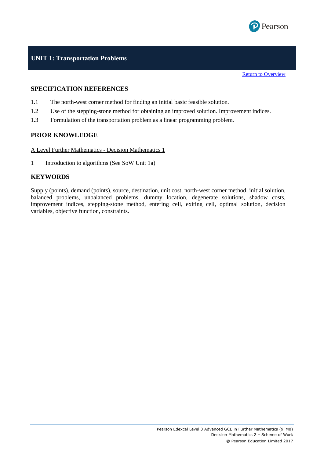

#### **UNIT 1: Transportation Problems**

**[Return to Overview](#page-2-0)** 

#### **SPECIFICATION REFERENCES**

- 1.1 The north-west corner method for finding an initial basic feasible solution.
- 1.2 Use of the stepping-stone method for obtaining an improved solution. Improvement indices.
- 1.3 Formulation of the transportation problem as a linear programming problem.

#### **PRIOR KNOWLEDGE**

A Level Further Mathematics - Decision Mathematics 1

1 Introduction to algorithms (See SoW Unit 1a)

#### **KEYWORDS**

Supply (points), demand (points), source, destination, unit cost, north-west corner method, initial solution, balanced problems, unbalanced problems, dummy location, degenerate solutions, shadow costs, improvement indices, stepping-stone method, entering cell, exiting cell, optimal solution, decision variables, objective function, constraints.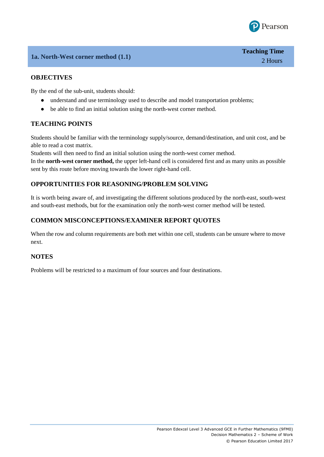

**Teaching Time**

2 Hours

**1a. North-West corner method (1.1)**

#### **OBJECTIVES**

By the end of the sub-unit, students should:

- understand and use terminology used to describe and model transportation problems;
- be able to find an initial solution using the north-west corner method.

#### **TEACHING POINTS**

Students should be familiar with the terminology supply/source, demand/destination, and unit cost, and be able to read a cost matrix.

Students will then need to find an initial solution using the north-west corner method.

In the **north-west corner method,** the upper left-hand cell is considered first and as many units as possible sent by this route before moving towards the lower right-hand cell.

#### **OPPORTUNITIES FOR REASONING/PROBLEM SOLVING**

It is worth being aware of, and investigating the different solutions produced by the north-east, south-west and south-east methods, but for the examination only the north-west corner method will be tested.

#### **COMMON MISCONCEPTIONS/EXAMINER REPORT QUOTES**

When the row and column requirements are both met within one cell, students can be unsure where to move next.

#### **NOTES**

Problems will be restricted to a maximum of four sources and four destinations.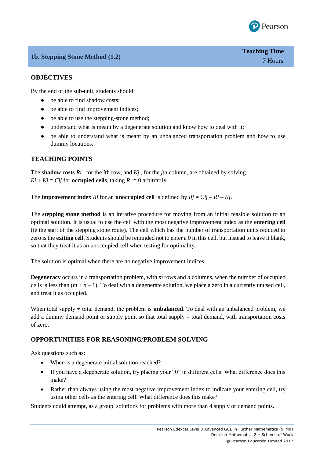

#### **1b. Stepping Stone Method (1.2)**

#### **OBJECTIVES**

By the end of the sub-unit, students should:

- be able to find shadow costs:
- be able to find improvement indices;
- be able to use the stepping-stone method;
- understand what is meant by a degenerate solution and know how to deal with it;
- be able to understand what is meant by an unbalanced transportation problem and how to use dummy locations.

#### **TEACHING POINTS**

The **shadow costs** *Ri* , for the *i*th row, and *Kj* , for the *j*th column, are obtained by solving  $Ri + Kj = Cij$  for **occupied cells**, taking  $R_1 = 0$  arbitrarily.

The **improvement index** *Iij* for an **unoccupied cell** is defined by  $Iij = Cij - Ri - Kj$ .

The **stepping stone method** is an iterative procedure for moving from an initial feasible solution to an optimal solution. It is usual to use the cell with the most negative improvement index as the **entering cell** (ie the start of the stepping stone route). The cell which has the number of transportation units reduced to zero is the **exiting cell**. Students should be reminded not to enter a 0 in this cell, but instead to leave it blank, so that they treat it as an unoccupied cell when testing for optimality.

The solution is optimal when there are no negative improvement indices.

**Degeneracy** occurs in a transportation problem, with *m* rows and *n* columns, when the number of occupied cells is less than  $(m + n - 1)$ . To deal with a degenerate solution, we place a zero in a currently unused cell, and treat it as occupied.

When total supply  $\neq$  total demand, the problem is **unbalanced**. To deal with an unbalanced problem, we add a dummy demand point or supply point so that total supply = total demand, with transportation costs of zero.

#### **OPPORTUNITIES FOR REASONING/PROBLEM SOLVING**

Ask questions such as:

- When is a degenerate initial solution reached?
- If you have a degenerate solution, try placing your "0" in different cells. What difference does this make?
- Rather than always using the most negative improvement index to indicate your entering cell, try using other cells as the entering cell. What difference does this make?

Students could attempt, as a group, solutions for problems with more than 4 supply or demand points.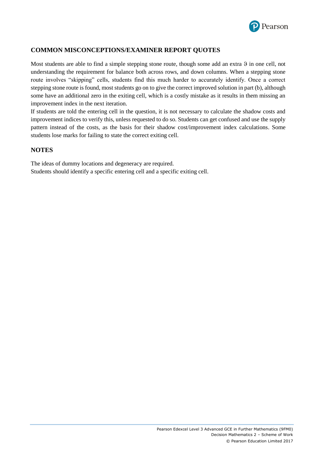

#### **COMMON MISCONCEPTIONS/EXAMINER REPORT QUOTES**

Most students are able to find a simple stepping stone route, though some add an extra  $\theta$  in one cell, not understanding the requirement for balance both across rows, and down columns. When a stepping stone route involves "skipping" cells, students find this much harder to accurately identify. Once a correct stepping stone route is found, most students go on to give the correct improved solution in part (b), although some have an additional zero in the exiting cell, which is a costly mistake as it results in them missing an improvement index in the next iteration.

If students are told the entering cell in the question, it is not necessary to calculate the shadow costs and improvement indices to verify this, unless requested to do so. Students can get confused and use the supply pattern instead of the costs, as the basis for their shadow cost/improvement index calculations. Some students lose marks for failing to state the correct exiting cell.

#### **NOTES**

The ideas of dummy locations and degeneracy are required. Students should identify a specific entering cell and a specific exiting cell.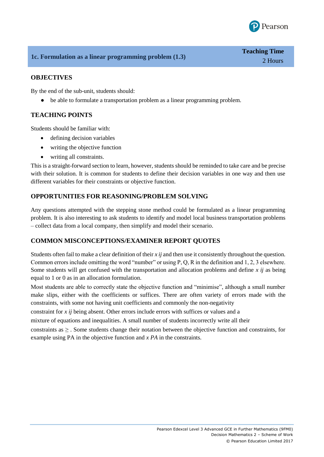

#### **1c. Formulation as a linear programming problem (1.3)**

#### **OBJECTIVES**

By the end of the sub-unit, students should:

● be able to formulate a transportation problem as a linear programming problem.

#### **TEACHING POINTS**

Students should be familiar with:

- defining decision variables
- writing the objective function
- writing all constraints.

This is a straight-forward section to learn, however, students should be reminded to take care and be precise with their solution. It is common for students to define their decision variables in one way and then use different variables for their constraints or objective function.

#### **OPPORTUNITIES FOR REASONING/PROBLEM SOLVING**

Any questions attempted with the stepping stone method could be formulated as a linear programming problem. It is also interesting to ask students to identify and model local business transportation problems – collect data from a local company, then simplify and model their scenario.

#### **COMMON MISCONCEPTIONS/EXAMINER REPORT QUOTES**

Students often fail to make a clear definition of their *x ij* and then use it consistently throughout the question. Common errors include omitting the word "number" or using P, Q, R in the definition and 1, 2, 3 elsewhere. Some students will get confused with the transportation and allocation problems and define *x ij* as being equal to 1 or 0 as in an allocation formulation.

Most students are able to correctly state the objective function and "minimise", although a small number make slips, either with the coefficients or suffices. There are often variety of errors made with the constraints, with some not having unit coefficients and commonly the non-negativity

constraint for *x ij* being absent. Other errors include errors with suffices or values and a

mixture of equations and inequalities. A small number of students incorrectly write all their

constraints as ≥ . Some students change their notation between the objective function and constraints, for example using PA in the objective function and *x PA* in the constraints.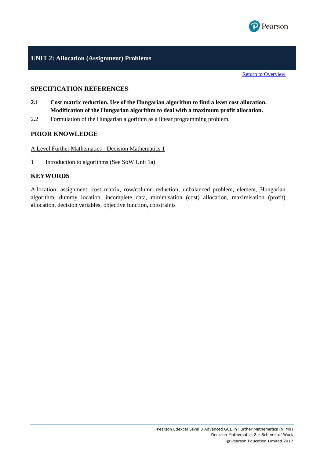

**[Return to Overview](#page-2-0)** 

#### **SPECIFICATION REFERENCES**

- **2.1 Cost matrix reduction. Use of the Hungarian algorithm to find a least cost allocation. Modification of the Hungarian algorithm to deal with a maximum profit allocation.**
- 2.2 Formulation of the Hungarian algorithm as a linear programming problem.

#### **PRIOR KNOWLEDGE**

#### A Level Further Mathematics - Decision Mathematics 1

1 Introduction to algorithms (See SoW Unit 1a)

#### **KEYWORDS**

Allocation, assignment, cost matrix, row/column reduction, unbalanced problem, element, Hungarian algorithm, dummy location, incomplete data, minimisation (cost) allocation, maximisation (profit) allocation, decision variables, objective function, constraints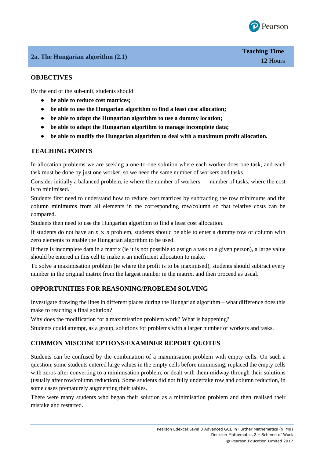

#### **2a. The Hungarian algorithm (2.1)**

#### **OBJECTIVES**

By the end of the sub-unit, students should:

- **be able to reduce cost matrices;**
- **be able to use the Hungarian algorithm to find a least cost allocation;**
- **be able to adapt the Hungarian algorithm to use a dummy location;**
- **be able to adapt the Hungarian algorithm to manage incomplete data;**
- **be able to modify the Hungarian algorithm to deal with a maximum profit allocation.**

#### **TEACHING POINTS**

In allocation problems we are seeking a one-to-one solution where each worker does one task, and each task must be done by just one worker, so we need the same number of workers and tasks.

Consider initially a balanced problem, ie where the number of workers = number of tasks, where the cost is to minimised.

Students first need to understand how to reduce cost matrices by subtracting the row minimums and the column minimums from all elements in the corresponding row/column so that relative costs can be compared.

Students then need to use the Hungarian algorithm to find a least cost allocation.

If students do not have an  $n \times n$  problem, students should be able to enter a dummy row or column with zero elements to enable the Hungarian algorithm to be used.

If there is incomplete data in a matrix (ie it is not possible to assign a task to a given person), a large value should be entered in this cell to make it an inefficient allocation to make.

To solve a maximisation problem (ie where the profit is to be maximised), students should subtract every number in the original matrix from the largest number in the matrix, and then proceed as usual.

#### **OPPORTUNITIES FOR REASONING/PROBLEM SOLVING**

Investigate drawing the lines in different places during the Hungarian algorithm – what difference does this make to reaching a final solution?

Why does the modification for a maximisation problem work? What is happening?

Students could attempt, as a group, solutions for problems with a larger number of workers and tasks.

#### **COMMON MISCONCEPTIONS/EXAMINER REPORT QUOTES**

Students can be confused by the combination of a maximisation problem with empty cells. On such a question, some students entered large values in the empty cells before minimising, replaced the empty cells with zeros after converting to a minimisation problem, or dealt with them midway through their solutions (usually after row/column reduction). Some students did not fully undertake row and column reduction, in some cases prematurely augmenting their tables.

There were many students who began their solution as a minimisation problem and then realised their mistake and restarted.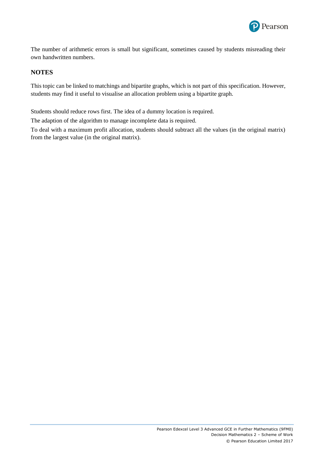

The number of arithmetic errors is small but significant, sometimes caused by students misreading their own handwritten numbers.

#### **NOTES**

This topic can be linked to matchings and bipartite graphs, which is not part of this specification. However, students may find it useful to visualise an allocation problem using a bipartite graph.

Students should reduce rows first. The idea of a dummy location is required.

The adaption of the algorithm to manage incomplete data is required.

To deal with a maximum profit allocation, students should subtract all the values (in the original matrix) from the largest value (in the original matrix).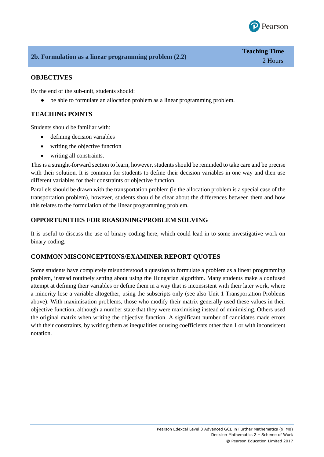

#### **2b. Formulation as a linear programming problem (2.2)**

#### **OBJECTIVES**

By the end of the sub-unit, students should:

● be able to formulate an allocation problem as a linear programming problem.

#### **TEACHING POINTS**

Students should be familiar with:

- defining decision variables
- writing the objective function
- writing all constraints.

This is a straight-forward section to learn, however, students should be reminded to take care and be precise with their solution. It is common for students to define their decision variables in one way and then use different variables for their constraints or objective function.

Parallels should be drawn with the transportation problem (ie the allocation problem is a special case of the transportation problem), however, students should be clear about the differences between them and how this relates to the formulation of the linear programming problem.

#### **OPPORTUNITIES FOR REASONING/PROBLEM SOLVING**

It is useful to discuss the use of binary coding here, which could lead in to some investigative work on binary coding.

#### **COMMON MISCONCEPTIONS/EXAMINER REPORT QUOTES**

Some students have completely misunderstood a question to formulate a problem as a linear programming problem, instead routinely setting about using the Hungarian algorithm. Many students make a confused attempt at defining their variables or define them in a way that is inconsistent with their later work, where a minority lose a variable altogether, using the subscripts only (see also Unit 1 Transportation Problems above). With maximisation problems, those who modify their matrix generally used these values in their objective function, although a number state that they were maximising instead of minimising. Others used the original matrix when writing the objective function. A significant number of candidates made errors with their constraints, by writing them as inequalities or using coefficients other than 1 or with inconsistent notation.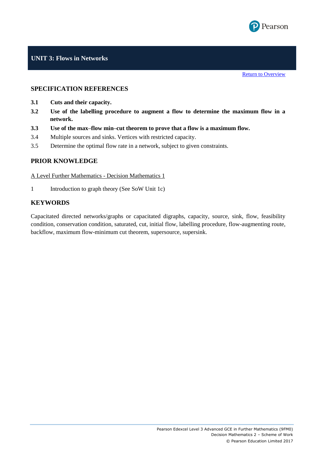

#### **SPECIFICATION REFERENCES**

- **3.1 Cuts and their capacity.**
- **3.2 Use of the labelling procedure to augment a flow to determine the maximum flow in a network.**
- **3.3 Use of the max–flow min–cut theorem to prove that a flow is a maximum flow.**
- 3.4 Multiple sources and sinks. Vertices with restricted capacity.
- 3.5 Determine the optimal flow rate in a network, subject to given constraints.

#### **PRIOR KNOWLEDGE**

A Level Further Mathematics - Decision Mathematics 1

1 Introduction to graph theory (See SoW Unit 1c)

#### **KEYWORDS**

Capacitated directed networks/graphs or capacitated digraphs, capacity, source, sink, flow, feasibility condition, conservation condition, saturated, cut, initial flow, labelling procedure, flow-augmenting route, backflow, maximum flow-minimum cut theorem, supersource, supersink.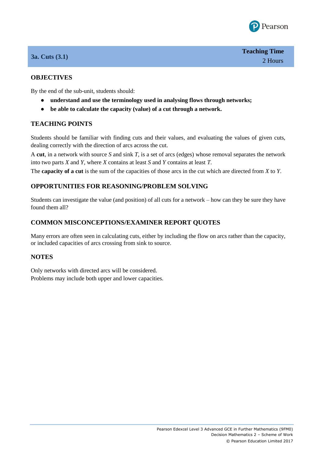

#### **3a. Cuts (3.1)**

#### **OBJECTIVES**

By the end of the sub-unit, students should:

- **understand and use the terminology used in analysing flows through networks;**
- **be able to calculate the capacity (value) of a cut through a network.**

#### **TEACHING POINTS**

Students should be familiar with finding cuts and their values, and evaluating the values of given cuts, dealing correctly with the direction of arcs across the cut.

A **cut**, in a network with source *S* and sink *T,* is a set of arcs (edges) whose removal separates the network into two parts *X* and *Y*, where *X* contains at least *S* and *Y* contains at least *T*.

The **capacity of a cut** is the sum of the capacities of those arcs in the cut which are directed from *X* to *Y*.

#### **OPPORTUNITIES FOR REASONING/PROBLEM SOLVING**

Students can investigate the value (and position) of all cuts for a network – how can they be sure they have found them all?

#### **COMMON MISCONCEPTIONS/EXAMINER REPORT QUOTES**

Many errors are often seen in calculating cuts, either by including the flow on arcs rather than the capacity, or included capacities of arcs crossing from sink to source.

#### **NOTES**

Only networks with directed arcs will be considered. Problems may include both upper and lower capacities.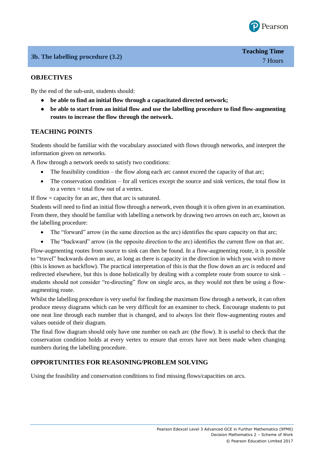

#### **OBJECTIVES**

By the end of the sub-unit, students should:

- **be able to find an initial flow through a capacitated directed network;**
- **be able to start from an initial flow and use the labelling procedure to find flow-augmenting routes to increase the flow through the network.**

#### **TEACHING POINTS**

Students should be familiar with the vocabulary associated with flows through networks, and interpret the information given on networks.

A flow through a network needs to satisfy two conditions:

- The feasibility condition the flow along each arc cannot exceed the capacity of that arc;
- The conservation condition for all vertices except the source and sink vertices, the total flow in to a vertex  $=$  total flow out of a vertex.

If flow  $=$  capacity for an arc, then that arc is saturated.

Students will need to find an initial flow through a network, even though it is often given in an examination. From there, they should be familiar with labelling a network by drawing two arrows on each arc, known as the labelling procedure:

- The "forward" arrow (in the same direction as the arc) identifies the spare capacity on that arc;
- The "backward" arrow (in the opposite direction to the arc) identifies the current flow on that arc.

Flow-augmenting routes from source to sink can then be found. In a flow-augmenting route, it is possible to "travel" backwards down an arc, as long as there is capacity in the direction in which you wish to move (this is known as backflow). The practical interpretation of this is that the flow down an arc is reduced and redirected elsewhere, but this is done holistically by dealing with a complete route from source to sink – students should not consider "re-directing" flow on single arcs, as they would not then be using a flowaugmenting route.

Whilst the labelling procedure is very useful for finding the maximum flow through a network, it can often produce messy diagrams which can be very difficult for an examiner to check. Encourage students to put one neat line through each number that is changed, and to always list their flow-augmenting routes and values outside of their diagram.

The final flow diagram should only have one number on each arc (the flow). It is useful to check that the conservation condition holds at every vertex to ensure that errors have not been made when changing numbers during the labelling procedure.

#### **OPPORTUNITIES FOR REASONING/PROBLEM SOLVING**

Using the feasibility and conservation conditions to find missing flows/capacities on arcs.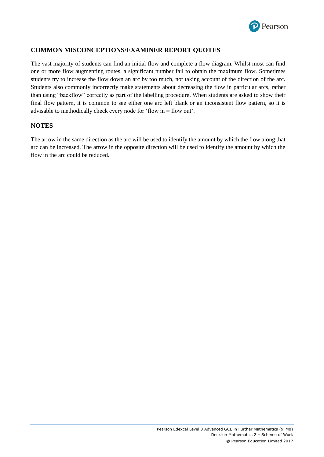

#### **COMMON MISCONCEPTIONS/EXAMINER REPORT QUOTES**

The vast majority of students can find an initial flow and complete a flow diagram. Whilst most can find one or more flow augmenting routes, a significant number fail to obtain the maximum flow. Sometimes students try to increase the flow down an arc by too much, not taking account of the direction of the arc. Students also commonly incorrectly make statements about decreasing the flow in particular arcs, rather than using "backflow" correctly as part of the labelling procedure. When students are asked to show their final flow pattern, it is common to see either one arc left blank or an inconsistent flow pattern, so it is advisable to methodically check every node for 'flow in = flow out'.

#### **NOTES**

The arrow in the same direction as the arc will be used to identify the amount by which the flow along that arc can be increased. The arrow in the opposite direction will be used to identify the amount by which the flow in the arc could be reduced.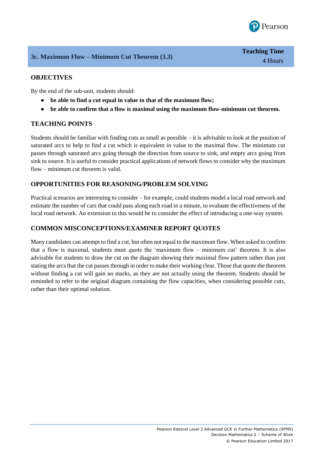

#### **3c. Maximum Flow – Minimum Cut Theorem (3.3)**

#### **OBJECTIVES**

By the end of the sub-unit, students should:

- **be able to find a cut equal in value to that of the maximum flow;**
- **be able to confirm that a flow is maximal using the maximum flow-minimum cut theorem.**

#### **TEACHING POINTS**

Students should be familiar with finding cuts as small as possible – it is advisable to look at the position of saturated arcs to help to find a cut which is equivalent in value to the maximal flow. The minimum cut passes through saturated arcs going through the direction from source to sink, and empty arcs going from sink to source. It is useful to consider practical applications of network flows to consider why the maximum flow – minimum cut theorem is valid.

#### **OPPORTUNITIES FOR REASONING/PROBLEM SOLVING**

Practical scenarios are interesting to consider – for example, could students model a local road network and estimate the number of cars that could pass along each road in a minute, to evaluate the effectiveness of the local road network. An extension to this would be to consider the effect of introducing a one-way system.

#### **COMMON MISCONCEPTIONS/EXAMINER REPORT QUOTES**

Many candidates can attempt to find a cut, but often not equal to the maximum flow. When asked to confirm that a flow is maximal, students must quote the 'maximum flow – minimum cut' theorem. It is also advisable for students to draw the cut on the diagram showing their maximal flow pattern rather than just stating the arcs that the cut passes through in order to make their working clear. Those that quote the theorem without finding a cut will gain no marks, as they are not actually using the theorem. Students should be reminded to refer to the original diagram containing the flow capacities, when considering possible cuts, rather than their optimal solution.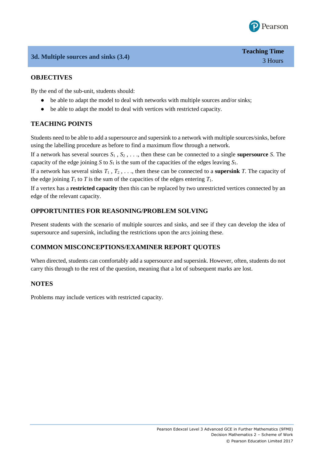

#### **OBJECTIVES**

By the end of the sub-unit, students should:

- be able to adapt the model to deal with networks with multiple sources and/or sinks;
- be able to adapt the model to deal with vertices with restricted capacity.

#### **TEACHING POINTS**

Students need to be able to add a supersource and supersink to a network with multiple sources/sinks, before using the labelling procedure as before to find a maximum flow through a network.

If a network has several sources *S*<sup>1</sup> , *S*<sup>2</sup> , . . ., then these can be connected to a single **supersource** *S*. The capacity of the edge joining *S* to  $S_1$  is the sum of the capacities of the edges leaving  $S_1$ .

If a network has several sinks  $T_1, T_2, \ldots$ , then these can be connected to a **supersink** *T*. The capacity of the edge joining  $T_1$  to  $T$  is the sum of the capacities of the edges entering  $T_1$ .

If a vertex has a **restricted capacity** then this can be replaced by two unrestricted vertices connected by an edge of the relevant capacity.

#### **OPPORTUNITIES FOR REASONING/PROBLEM SOLVING**

Present students with the scenario of multiple sources and sinks, and see if they can develop the idea of supersource and supersink, including the restrictions upon the arcs joining these.

#### **COMMON MISCONCEPTIONS/EXAMINER REPORT QUOTES**

When directed, students can comfortably add a supersource and supersink. However, often, students do not carry this through to the rest of the question, meaning that a lot of subsequent marks are lost.

#### **NOTES**

Problems may include vertices with restricted capacity.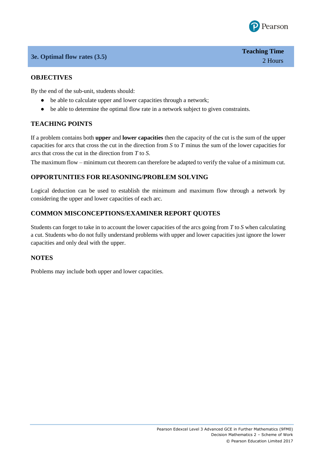

#### **3e. Optimal flow rates (3.5)**

#### **OBJECTIVES**

By the end of the sub-unit, students should:

- be able to calculate upper and lower capacities through a network;
- be able to determine the optimal flow rate in a network subject to given constraints.

#### **TEACHING POINTS**

If a problem contains both **upper** and **lower capacities** then the capacity of the cut is the sum of the upper capacities for arcs that cross the cut in the direction from *S* to *T* minus the sum of the lower capacities for arcs that cross the cut in the direction from *T* to *S*.

The maximum flow – minimum cut theorem can therefore be adapted to verify the value of a minimum cut.

#### **OPPORTUNITIES FOR REASONING/PROBLEM SOLVING**

Logical deduction can be used to establish the minimum and maximum flow through a network by considering the upper and lower capacities of each arc.

#### **COMMON MISCONCEPTIONS/EXAMINER REPORT QUOTES**

Students can forget to take in to account the lower capacities of the arcs going from *T* to *S* when calculating a cut. Students who do not fully understand problems with upper and lower capacities just ignore the lower capacities and only deal with the upper.

#### **NOTES**

Problems may include both upper and lower capacities.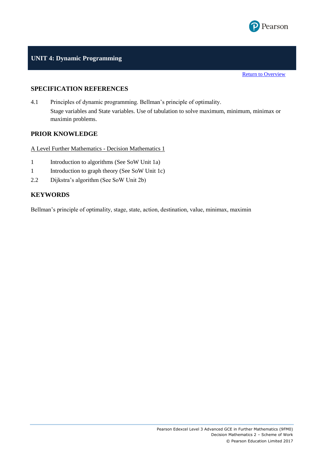

#### **UNIT 4: Dynamic Programming**

**[Return to Overview](#page-2-0)** 

#### **SPECIFICATION REFERENCES**

4.1 Principles of dynamic programming. Bellman's principle of optimality. Stage variables and State variables. Use of tabulation to solve maximum, minimum, minimax or maximin problems.

#### **PRIOR KNOWLEDGE**

A Level Further Mathematics - Decision Mathematics 1

- 1 Introduction to algorithms (See SoW Unit 1a)
- 1 Introduction to graph theory (See SoW Unit 1c)
- 2.2 Dijkstra's algorithm (See SoW Unit 2b)

#### **KEYWORDS**

Bellman's principle of optimality, stage, state, action, destination, value, minimax, maximin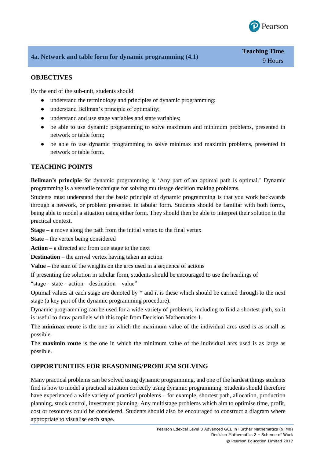

#### **OBJECTIVES**

By the end of the sub-unit, students should:

- understand the terminology and principles of dynamic programming;
- understand Bellman's principle of optimality;
- understand and use stage variables and state variables;
- be able to use dynamic programming to solve maximum and minimum problems, presented in network or table form;
- be able to use dynamic programming to solve minimax and maximin problems, presented in network or table form.

#### **TEACHING POINTS**

**Bellman's principle** for dynamic programming is 'Any part of an optimal path is optimal.' Dynamic programming is a versatile technique for solving multistage decision making problems.

Students must understand that the basic principle of dynamic programming is that you work backwards through a network, or problem presented in tabular form. Students should be familiar with both forms, being able to model a situation using either form. They should then be able to interpret their solution in the practical context.

**Stage** – a move along the path from the initial vertex to the final vertex

**State** – the vertex being considered

**Action** – a directed arc from one stage to the next

**Destination** – the arrival vertex having taken an action

**Value** – the sum of the weights on the arcs used in a sequence of actions

If presenting the solution in tabular form, students should be encouraged to use the headings of

"stage – state – action – destination – value"

Optimal values at each stage are denoted by \* and it is these which should be carried through to the next stage (a key part of the dynamic programming procedure).

Dynamic programming can be used for a wide variety of problems, including to find a shortest path, so it is useful to draw parallels with this topic from Decision Mathematics 1.

The **minimax route** is the one in which the maximum value of the individual arcs used is as small as possible.

The **maximin route** is the one in which the minimum value of the individual arcs used is as large as possible.

#### **OPPORTUNITIES FOR REASONING/PROBLEM SOLVING**

Many practical problems can be solved using dynamic programming, and one of the hardest things students find is how to model a practical situation correctly using dynamic programming. Students should therefore have experienced a wide variety of practical problems – for example, shortest path, allocation, production planning, stock control, investment planning. Any multistage problems which aim to optimise time, profit, cost or resources could be considered. Students should also be encouraged to construct a diagram where appropriate to visualise each stage.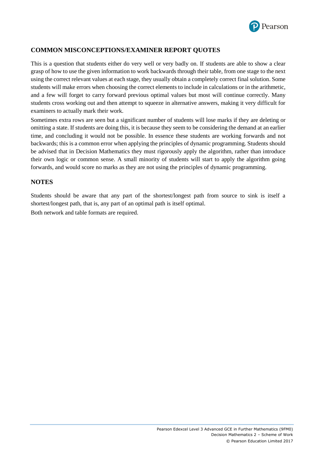

#### **COMMON MISCONCEPTIONS/EXAMINER REPORT QUOTES**

This is a question that students either do very well or very badly on. If students are able to show a clear grasp of how to use the given information to work backwards through their table, from one stage to the next using the correct relevant values at each stage, they usually obtain a completely correct final solution. Some students will make errors when choosing the correct elements to include in calculations or in the arithmetic, and a few will forget to carry forward previous optimal values but most will continue correctly. Many students cross working out and then attempt to squeeze in alternative answers, making it very difficult for examiners to actually mark their work.

Sometimes extra rows are seen but a significant number of students will lose marks if they are deleting or omitting a state. If students are doing this, it is because they seem to be considering the demand at an earlier time, and concluding it would not be possible. In essence these students are working forwards and not backwards; this is a common error when applying the principles of dynamic programming. Students should be advised that in Decision Mathematics they must rigorously apply the algorithm, rather than introduce their own logic or common sense. A small minority of students will start to apply the algorithm going forwards, and would score no marks as they are not using the principles of dynamic programming.

#### **NOTES**

Students should be aware that any part of the shortest/longest path from source to sink is itself a shortest/longest path, that is, any part of an optimal path is itself optimal. Both network and table formats are required.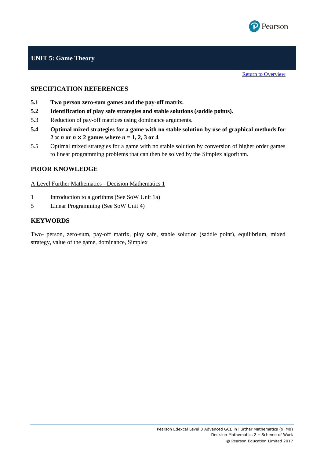

**[Return to Overview](#page-2-0)** 

#### **SPECIFICATION REFERENCES**

- **5.1 Two person zero-sum games and the pay-off matrix.**
- **5.2 Identification of play safe strategies and stable solutions (saddle points).**
- 5.3 Reduction of pay-off matrices using dominance arguments.
- **5.4 Optimal mixed strategies for a game with no stable solution by use of graphical methods for**   $2 \times n$  or  $n \times 2$  games where  $n = 1, 2, 3$  or 4
- 5.5 Optimal mixed strategies for a game with no stable solution by conversion of higher order games to linear programming problems that can then be solved by the Simplex algorithm.

#### **PRIOR KNOWLEDGE**

#### A Level Further Mathematics - Decision Mathematics 1

- 1 Introduction to algorithms (See SoW Unit 1a)
- 5 Linear Programming (See SoW Unit 4)

#### **KEYWORDS**

Two- person, zero-sum, pay-off matrix, play safe, stable solution (saddle point), equilibrium, mixed strategy, value of the game, dominance, Simplex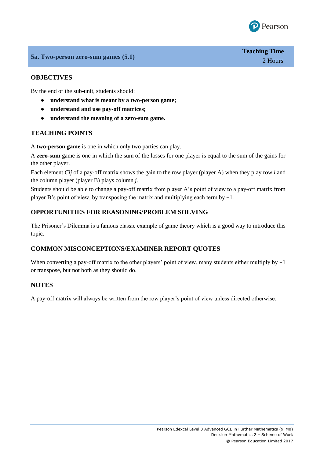

**5a. Two-person zero-sum games (5.1)**

#### **OBJECTIVES**

By the end of the sub-unit, students should:

- **understand what is meant by a two-person game;**
- **understand and use pay-off matrices;**
- **understand the meaning of a zero-sum game.**

#### **TEACHING POINTS**

A **two-person game** is one in which only two parties can play.

A **zero-sum** game is one in which the sum of the losses for one player is equal to the sum of the gains for the other player.

Each element *Cij* of a pay-off matrix shows the gain to the row player (player A) when they play row *i* and the column player (player B) plays column *j*.

Students should be able to change a pay-off matrix from player A's point of view to a pay-off matrix from player B's point of view, by transposing the matrix and multiplying each term by –1.

#### **OPPORTUNITIES FOR REASONING/PROBLEM SOLVING**

The Prisoner's Dilemma is a famous classic example of game theory which is a good way to introduce this topic.

#### **COMMON MISCONCEPTIONS/EXAMINER REPORT QUOTES**

When converting a pay-off matrix to the other players' point of view, many students either multiply by  $-1$ or transpose, but not both as they should do.

#### **NOTES**

A pay-off matrix will always be written from the row player's point of view unless directed otherwise.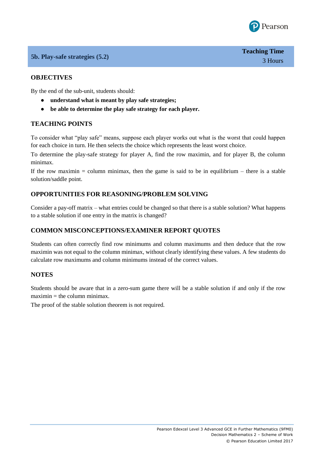

#### **5b. Play-safe strategies (5.2)**

#### **OBJECTIVES**

By the end of the sub-unit, students should:

- **understand what is meant by play safe strategies;**
- **be able to determine the play safe strategy for each player.**

#### **TEACHING POINTS**

To consider what "play safe" means, suppose each player works out what is the worst that could happen for each choice in turn. He then selects the choice which represents the least worst choice.

To determine the play-safe strategy for player A, find the row maximin, and for player B, the column minimax.

If the row maximin  $=$  column minimax, then the game is said to be in equilibrium  $-$  there is a stable solution/saddle point.

#### **OPPORTUNITIES FOR REASONING/PROBLEM SOLVING**

Consider a pay-off matrix – what entries could be changed so that there is a stable solution? What happens to a stable solution if one entry in the matrix is changed?

#### **COMMON MISCONCEPTIONS/EXAMINER REPORT QUOTES**

Students can often correctly find row minimums and column maximums and then deduce that the row maximin was not equal to the column minimax, without clearly identifying these values. A few students do calculate row maximums and column minimums instead of the correct values.

#### **NOTES**

Students should be aware that in a zero-sum game there will be a stable solution if and only if the row  $maximin = the column minimax.$ 

The proof of the stable solution theorem is not required.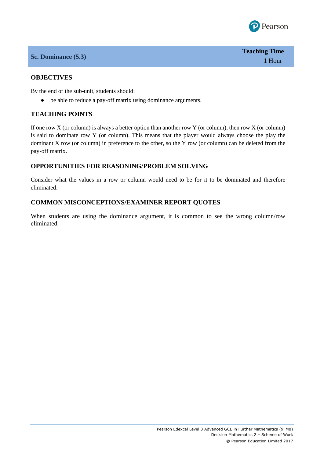

#### **5c. Dominance (5.3)**

#### **OBJECTIVES**

By the end of the sub-unit, students should:

● be able to reduce a pay-off matrix using dominance arguments.

#### **TEACHING POINTS**

If one row X (or column) is always a better option than another row Y (or column), then row X (or column) is said to dominate row Y (or column). This means that the player would always choose the play the dominant X row (or column) in preference to the other, so the Y row (or column) can be deleted from the pay-off matrix.

#### **OPPORTUNITIES FOR REASONING/PROBLEM SOLVING**

Consider what the values in a row or column would need to be for it to be dominated and therefore eliminated.

#### **COMMON MISCONCEPTIONS/EXAMINER REPORT QUOTES**

When students are using the dominance argument, it is common to see the wrong column/row eliminated.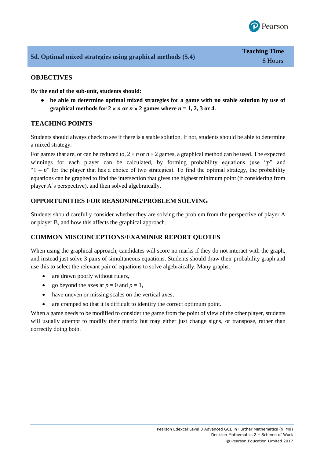

#### **OBJECTIVES**

**By the end of the sub-unit, students should:**

● **be able to determine optimal mixed strategies for a game with no stable solution by use of graphical methods for**  $2 \times n$  **or**  $n \times 2$  **games where**  $n = 1, 2, 3$  **or 4.** 

#### **TEACHING POINTS**

Students should always check to see if there is a stable solution. If not, students should be able to determine a mixed strategy.

For games that are, or can be reduced to,  $2 \times n$  or  $n \times 2$  games, a graphical method can be used. The expected winnings for each player can be calculated, by forming probability equations (use "*p*" and " $1 - p$ " for the player that has a choice of two strategies). To find the optimal strategy, the probability equations can be graphed to find the intersection that gives the highest minimum point (if considering from player A's perspective), and then solved algebraically.

#### **OPPORTUNITIES FOR REASONING/PROBLEM SOLVING**

Students should carefully consider whether they are solving the problem from the perspective of player A or player B, and how this affects the graphical approach.

#### **COMMON MISCONCEPTIONS/EXAMINER REPORT QUOTES**

When using the graphical approach, candidates will score no marks if they do not interact with the graph, and instead just solve 3 pairs of simultaneous equations. Students should draw their probability graph and use this to select the relevant pair of equations to solve algebraically. Many graphs:

- are drawn poorly without rulers,
- go beyond the axes at  $p = 0$  and  $p = 1$ ,
- have uneven or missing scales on the vertical axes,
- are cramped so that it is difficult to identify the correct optimum point.

When a game needs to be modified to consider the game from the point of view of the other player, students will usually attempt to modify their matrix but may either just change signs, or transpose, rather than correctly doing both.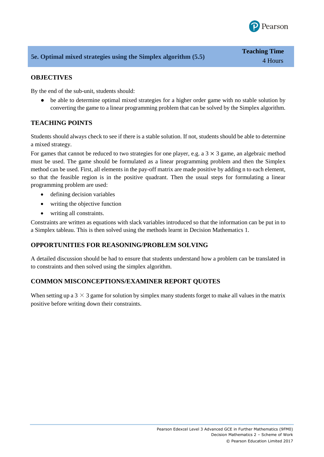

#### **OBJECTIVES**

By the end of the sub-unit, students should:

● be able to determine optimal mixed strategies for a higher order game with no stable solution by converting the game to a linear programming problem that can be solved by the Simplex algorithm.

#### **TEACHING POINTS**

Students should always check to see if there is a stable solution. If not, students should be able to determine a mixed strategy.

For games that cannot be reduced to two strategies for one player, e.g. a  $3 \times 3$  game, an algebraic method must be used. The game should be formulated as a linear programming problem and then the Simplex method can be used. First, all elements in the pay-off matrix are made positive by adding n to each element, so that the feasible region is in the positive quadrant. Then the usual steps for formulating a linear programming problem are used:

- defining decision variables
- writing the objective function
- writing all constraints.

Constraints are written as equations with slack variables introduced so that the information can be put in to a Simplex tableau. This is then solved using the methods learnt in Decision Mathematics 1.

#### **OPPORTUNITIES FOR REASONING/PROBLEM SOLVING**

A detailed discussion should be had to ensure that students understand how a problem can be translated in to constraints and then solved using the simplex algorithm.

#### **COMMON MISCONCEPTIONS/EXAMINER REPORT QUOTES**

When setting up a  $3 \times 3$  game for solution by simplex many students forget to make all values in the matrix positive before writing down their constraints.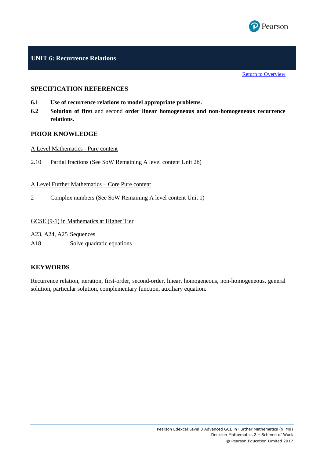

#### **UNIT 6: Recurrence Relations**

**[Return to Overview](#page-2-0)** 

#### **SPECIFICATION REFERENCES**

- **6.1 Use of recurrence relations to model appropriate problems.**
- **6.2 Solution of first** and second **order linear homogeneous and non-homogeneous recurrence relations.**

#### **PRIOR KNOWLEDGE**

#### A Level Mathematics - Pure content

2.10 Partial fractions (See SoW Remaining A level content Unit 2b)

#### A Level Further Mathematics – Core Pure content

2 Complex numbers (See SoW Remaining A level content Unit 1)

#### GCSE (9-1) in Mathematics at Higher Tier

- A23, A24, A25 Sequences
- A18 Solve quadratic equations

#### **KEYWORDS**

Recurrence relation, iteration, first-order, second-order, linear, homogeneous, non-homogeneous, general solution, particular solution, complementary function, auxiliary equation.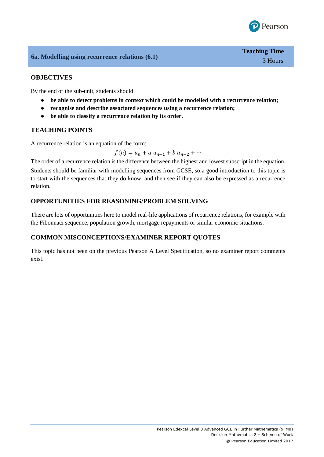

#### **6a. Modelling using recurrence relations (6.1)**

#### **OBJECTIVES**

By the end of the sub-unit, students should:

- **be able to detect problems in context which could be modelled with a recurrence relation;**
- **recognise and describe associated sequences using a recurrence relation;**
- **be able to classify a recurrence relation by its order.**

#### **TEACHING POINTS**

A recurrence relation is an equation of the form:

 $f(n) = u_n + a u_{n-1} + b u_{n-2} + \cdots$ 

The order of a recurrence relation is the difference between the highest and lowest subscript in the equation. Students should be familiar with modelling sequences from GCSE, so a good introduction to this topic is to start with the sequences that they do know, and then see if they can also be expressed as a recurrence relation.

#### **OPPORTUNITIES FOR REASONING/PROBLEM SOLVING**

There are lots of opportunities here to model real-life applications of recurrence relations, for example with the Fibonnaci sequence, population growth, mortgage repayments or similar economic situations.

#### **COMMON MISCONCEPTIONS/EXAMINER REPORT QUOTES**

This topic has not been on the previous Pearson A Level Specification, so no examiner report comments exist.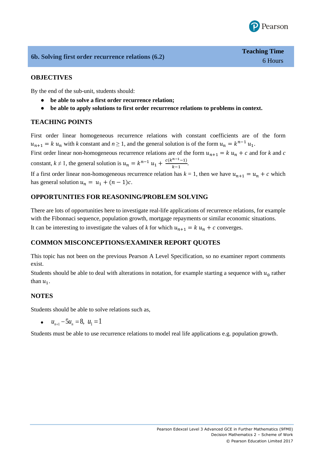

#### **6b. Solving first order recurrence relations (6.2)**

#### **OBJECTIVES**

By the end of the sub-unit, students should:

- **be able to solve a first order recurrence relation;**
- be able to apply solutions to first order recurrence relations to problems in context.

#### **TEACHING POINTS**

First order linear homogeneous recurrence relations with constant coefficients are of the form  $u_{n+1} = k u_n$  with k constant and  $n \ge 1$ , and the general solution is of the form  $u_n = k^{n-1} u_1$ .

First order linear non-homogeneous recurrence relations are of the form  $u_{n+1} = k u_n + c$  and for k and c constant,  $k \neq 1$ , the general solution is  $u_n = k^{n-1} u_1 + \frac{c(k^{n-1}-1)}{k-1}$  $\frac{-1}{k-1}$ .

If a first order linear non-homogeneous recurrence relation has  $k = 1$ , then we have  $u_{n+1} = u_n + c$  which has general solution  $u_n = u_1 + (n - 1)c$ .

#### **OPPORTUNITIES FOR REASONING/PROBLEM SOLVING**

There are lots of opportunities here to investigate real-life applications of recurrence relations, for example with the Fibonnaci sequence, population growth, mortgage repayments or similar economic situations. It can be interesting to investigate the values of *k* for which  $u_{n+1} = k u_n + c$  converges.

#### **COMMON MISCONCEPTIONS/EXAMINER REPORT QUOTES**

This topic has not been on the previous Pearson A Level Specification, so no examiner report comments exist.

Students should be able to deal with alterations in notation, for example starting a sequence with  $u_0$  rather than  $u_1$ .

#### **NOTES**

Students should be able to solve relations such as,

•  $u_{n+1} - 5u_n = 8, u_1 = 1$ 

Students must be able to use recurrence relations to model real life applications e.g. population growth.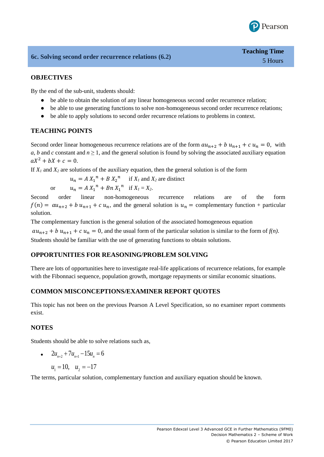

#### **6c. Solving second order recurrence relations (6.2)**

#### **OBJECTIVES**

By the end of the sub-unit, students should:

- be able to obtain the solution of any linear homogeneous second order recurrence relation;
- be able to use generating functions to solve non-homogeneous second order recurrence relations;
- be able to apply solutions to second order recurrence relations to problems in context.

#### **TEACHING POINTS**

Second order linear homogeneous recurrence relations are of the form  $au_{n+2} + bu_{n+1} + cu_n = 0$ , with *a*, *b* and *c* constant and  $n \ge 1$ , and the general solution is found by solving the associated auxiliary equation  $aX^2 + bX + c = 0.$ 

If  $X_1$  and  $X_2$  are solutions of the auxiliary equation, then the general solution is of the form

 $u_n = A X_1^n + B X_2^n$  if  $X_1$  and  $X_2$  are distinct

or 
$$
u_n = A X_1^n + B n X_1^n
$$
 if  $X_1 = X_2$ .

Second order linear non-homogeneous recurrence relations are of the form  $f(n) = \alpha u_{n+2} + b u_{n+1} + c u_n$ , and the general solution is  $u_n$  = complementary function + particular solution.

The complementary function is the general solution of the associated homogeneous equation

 $au_{n+2} + b u_{n+1} + c u_n = 0$ , and the usual form of the particular solution is similar to the form of  $f(n)$ . Students should be familiar with the use of generating functions to obtain solutions.

#### **OPPORTUNITIES FOR REASONING/PROBLEM SOLVING**

There are lots of opportunities here to investigate real-life applications of recurrence relations, for example with the Fibonnaci sequence, population growth, mortgage repayments or similar economic situations.

#### **COMMON MISCONCEPTIONS/EXAMINER REPORT QUOTES**

This topic has not been on the previous Pearson A Level Specification, so no examiner report comments exist.

#### **NOTES**

Students should be able to solve relations such as,

- $2u_{n+2} + 7u_{n+1} 15u_n = 6$ 
	- $u_1 = 10$ ,  $u_2 = -17$

The terms, particular solution, complementary function and auxiliary equation should be known.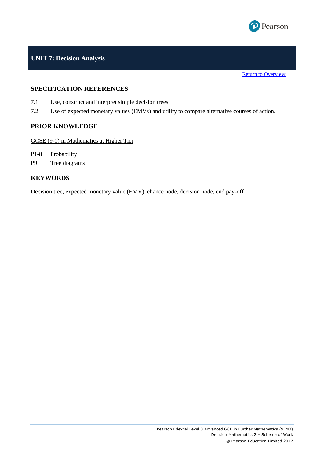

#### **UNIT 7: Decision Analysis**

**[Return to Overview](#page-2-0)** 

#### **SPECIFICATION REFERENCES**

- 7.1 Use, construct and interpret simple decision trees.
- 7.2 Use of expected monetary values (EMVs) and utility to compare alternative courses of action.

#### **PRIOR KNOWLEDGE**

GCSE (9-1) in Mathematics at Higher Tier

- P1-8 Probability
- P9 Tree diagrams

#### **KEYWORDS**

Decision tree, expected monetary value (EMV), chance node, decision node, end pay-off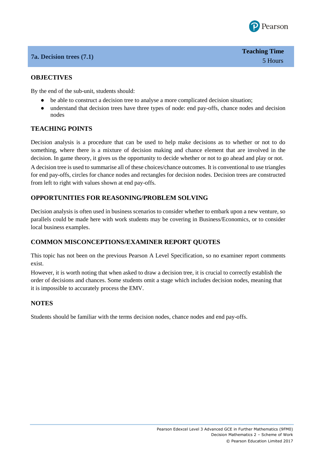

**Teaching Time**

5 Hours

#### **7a. Decision trees (7.1)**

#### **OBJECTIVES**

By the end of the sub-unit, students should:

- be able to construct a decision tree to analyse a more complicated decision situation;
- understand that decision trees have three types of node: end pay-offs, chance nodes and decision nodes

#### **TEACHING POINTS**

Decision analysis is a procedure that can be used to help make decisions as to whether or not to do something, where there is a mixture of decision making and chance element that are involved in the decision. In game theory, it gives us the opportunity to decide whether or not to go ahead and play or not.

A decision tree is used to summarise all of these choices/chance outcomes. It is conventional to use triangles for end pay-offs, circles for chance nodes and rectangles for decision nodes. Decision trees are constructed from left to right with values shown at end pay-offs.

#### **OPPORTUNITIES FOR REASONING/PROBLEM SOLVING**

Decision analysis is often used in business scenarios to consider whether to embark upon a new venture, so parallels could be made here with work students may be covering in Business/Economics, or to consider local business examples.

#### **COMMON MISCONCEPTIONS/EXAMINER REPORT QUOTES**

This topic has not been on the previous Pearson A Level Specification, so no examiner report comments exist.

However, it is worth noting that when asked to draw a decision tree, it is crucial to correctly establish the order of decisions and chances. Some students omit a stage which includes decision nodes, meaning that it is impossible to accurately process the EMV.

#### **NOTES**

Students should be familiar with the terms decision nodes, chance nodes and end pay-offs.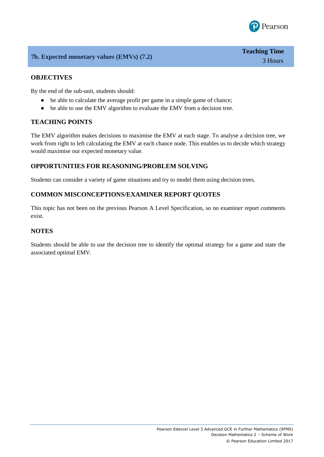

#### **7b. Expected monetary values (EMVs) (7.2)**

#### **Teaching Time** 3 Hours

#### **OBJECTIVES**

By the end of the sub-unit, students should:

- be able to calculate the average profit per game in a simple game of chance;
- be able to use the EMV algorithm to evaluate the EMV from a decision tree.

#### **TEACHING POINTS**

The EMV algorithm makes decisions to maximise the EMV at each stage. To analyse a decision tree, we work from right to left calculating the EMV at each chance node. This enables us to decide which strategy would maximise our expected monetary value.

#### **OPPORTUNITIES FOR REASONING/PROBLEM SOLVING**

Students can consider a variety of game situations and try to model them using decision trees.

#### **COMMON MISCONCEPTIONS/EXAMINER REPORT QUOTES**

This topic has not been on the previous Pearson A Level Specification, so no examiner report comments exist.

#### **NOTES**

Students should be able to use the decision tree to identify the optimal strategy for a game and state the associated optimal EMV.